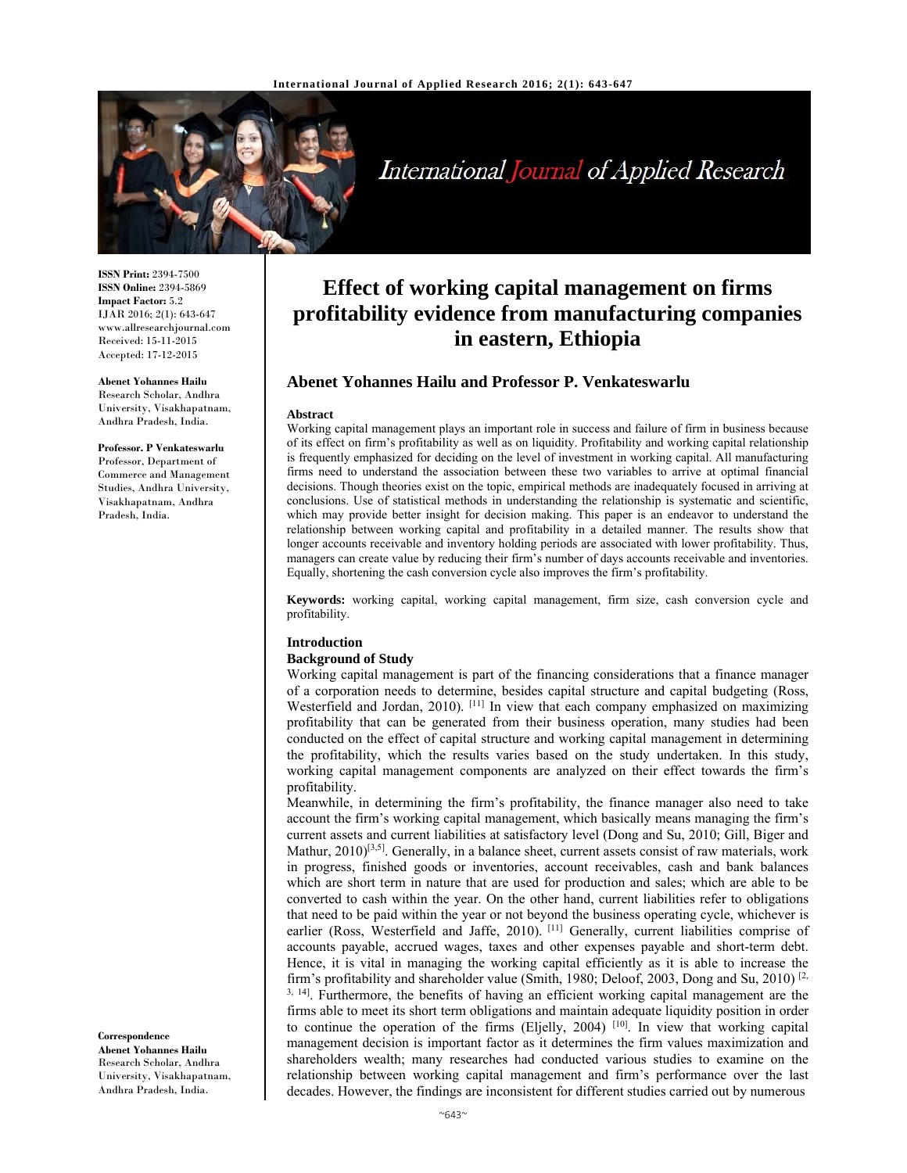

# International Journal of Applied Research

**ISSN Print:** 2394-7500 **ISSN Online:** 2394-5869 **Impact Factor:** 5.2 IJAR 2016; 2(1): 643-647 www.allresearchjournal.com Received: 15-11-2015 Accepted: 17-12-2015

#### **Abenet Yohannes Hailu**

Research Scholar, Andhra University, Visakhapatnam, Andhra Pradesh, India.

#### **Professor. P Venkateswarlu**

Professor, Department of Commerce and Management Studies, Andhra University, Visakhapatnam, Andhra Pradesh, India.

## **Correspondence**

**Abenet Yohannes Hailu**  Research Scholar, Andhra University, Visakhapatnam, Andhra Pradesh, India.

## **Effect of working capital management on firms profitability evidence from manufacturing companies in eastern, Ethiopia**

## **Abenet Yohannes Hailu and Professor P. Venkateswarlu**

#### **Abstract**

Working capital management plays an important role in success and failure of firm in business because of its effect on firm's profitability as well as on liquidity. Profitability and working capital relationship is frequently emphasized for deciding on the level of investment in working capital. All manufacturing firms need to understand the association between these two variables to arrive at optimal financial decisions. Though theories exist on the topic, empirical methods are inadequately focused in arriving at conclusions. Use of statistical methods in understanding the relationship is systematic and scientific, which may provide better insight for decision making. This paper is an endeavor to understand the relationship between working capital and profitability in a detailed manner. The results show that longer accounts receivable and inventory holding periods are associated with lower profitability. Thus, managers can create value by reducing their firm's number of days accounts receivable and inventories. Equally, shortening the cash conversion cycle also improves the firm's profitability.

**Keywords:** working capital, working capital management, firm size, cash conversion cycle and profitability.

## **Introduction**

#### **Background of Study**

Working capital management is part of the financing considerations that a finance manager of a corporation needs to determine, besides capital structure and capital budgeting (Ross, Westerfield and Jordan, 2010). <sup>[11]</sup> In view that each company emphasized on maximizing profitability that can be generated from their business operation, many studies had been conducted on the effect of capital structure and working capital management in determining the profitability, which the results varies based on the study undertaken. In this study, working capital management components are analyzed on their effect towards the firm's profitability.

Meanwhile, in determining the firm's profitability, the finance manager also need to take account the firm's working capital management, which basically means managing the firm's current assets and current liabilities at satisfactory level (Dong and Su, 2010; Gill, Biger and Mathur,  $2010$ <sup>[3,5]</sup>. Generally, in a balance sheet, current assets consist of raw materials, work in progress, finished goods or inventories, account receivables, cash and bank balances which are short term in nature that are used for production and sales; which are able to be converted to cash within the year. On the other hand, current liabilities refer to obligations that need to be paid within the year or not beyond the business operating cycle, whichever is earlier (Ross, Westerfield and Jaffe, 2010). [11] Generally, current liabilities comprise of accounts payable, accrued wages, taxes and other expenses payable and short-term debt. Hence, it is vital in managing the working capital efficiently as it is able to increase the firm's profitability and shareholder value (Smith, 1980; Deloof, 2003, Dong and Su, 2010)  $\left[2\right]$ . <sup>3, 14</sup>. Furthermore, the benefits of having an efficient working capital management are the firms able to meet its short term obligations and maintain adequate liquidity position in order to continue the operation of the firms (Eljelly, 2004) [10]. In view that working capital management decision is important factor as it determines the firm values maximization and shareholders wealth; many researches had conducted various studies to examine on the relationship between working capital management and firm's performance over the last decades. However, the findings are inconsistent for different studies carried out by numerous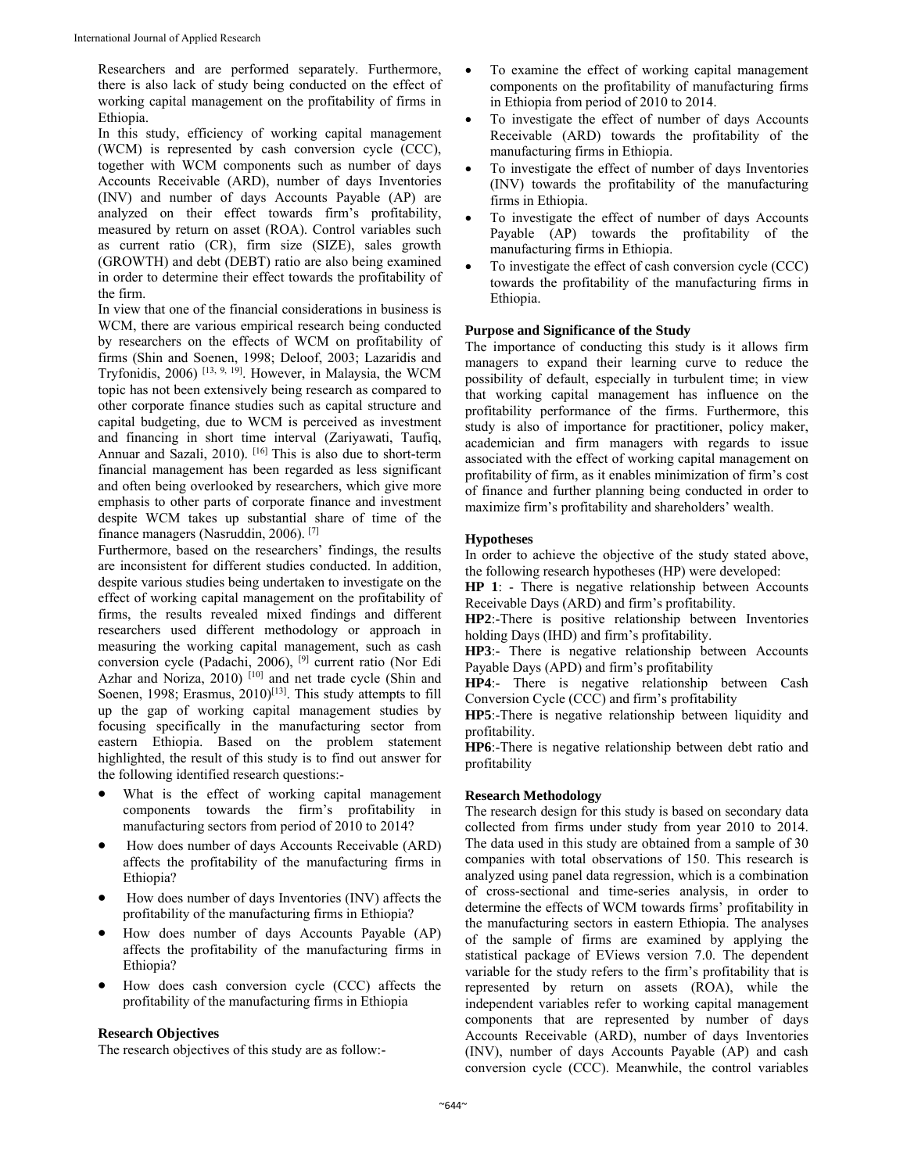Researchers and are performed separately. Furthermore, there is also lack of study being conducted on the effect of working capital management on the profitability of firms in Ethiopia.

In this study, efficiency of working capital management (WCM) is represented by cash conversion cycle (CCC), together with WCM components such as number of days Accounts Receivable (ARD), number of days Inventories (INV) and number of days Accounts Payable (AP) are analyzed on their effect towards firm's profitability, measured by return on asset (ROA). Control variables such as current ratio (CR), firm size (SIZE), sales growth (GROWTH) and debt (DEBT) ratio are also being examined in order to determine their effect towards the profitability of the firm.

In view that one of the financial considerations in business is WCM, there are various empirical research being conducted by researchers on the effects of WCM on profitability of firms (Shin and Soenen, 1998; Deloof, 2003; Lazaridis and Tryfonidis, 2006) [13, 9, 19]. However, in Malaysia, the WCM topic has not been extensively being research as compared to other corporate finance studies such as capital structure and capital budgeting, due to WCM is perceived as investment and financing in short time interval (Zariyawati, Taufiq, Annuar and Sazali, 2010). <sup>[16]</sup> This is also due to short-term financial management has been regarded as less significant and often being overlooked by researchers, which give more emphasis to other parts of corporate finance and investment despite WCM takes up substantial share of time of the finance managers (Nasruddin, 2006). [7]

Furthermore, based on the researchers' findings, the results are inconsistent for different studies conducted. In addition, despite various studies being undertaken to investigate on the effect of working capital management on the profitability of firms, the results revealed mixed findings and different researchers used different methodology or approach in measuring the working capital management, such as cash conversion cycle (Padachi, 2006), [9] current ratio (Nor Edi Azhar and Noriza, 2010)<sup>[10]</sup> and net trade cycle (Shin and Soenen, 1998; Erasmus,  $2010$ <sup>[13]</sup>. This study attempts to fill up the gap of working capital management studies by focusing specifically in the manufacturing sector from eastern Ethiopia. Based on the problem statement highlighted, the result of this study is to find out answer for the following identified research questions:-

- What is the effect of working capital management components towards the firm's profitability in manufacturing sectors from period of 2010 to 2014?
- How does number of days Accounts Receivable (ARD) affects the profitability of the manufacturing firms in Ethiopia?
- How does number of days Inventories (INV) affects the profitability of the manufacturing firms in Ethiopia?
- How does number of days Accounts Payable (AP) affects the profitability of the manufacturing firms in Ethiopia?
- How does cash conversion cycle (CCC) affects the profitability of the manufacturing firms in Ethiopia

#### **Research Objectives**

The research objectives of this study are as follow:-

- To examine the effect of working capital management components on the profitability of manufacturing firms in Ethiopia from period of 2010 to 2014.
- To investigate the effect of number of days Accounts Receivable (ARD) towards the profitability of the manufacturing firms in Ethiopia.
- To investigate the effect of number of days Inventories (INV) towards the profitability of the manufacturing firms in Ethiopia.
- To investigate the effect of number of days Accounts Payable (AP) towards the profitability of the manufacturing firms in Ethiopia.
- To investigate the effect of cash conversion cycle (CCC) towards the profitability of the manufacturing firms in Ethiopia.

## **Purpose and Significance of the Study**

The importance of conducting this study is it allows firm managers to expand their learning curve to reduce the possibility of default, especially in turbulent time; in view that working capital management has influence on the profitability performance of the firms. Furthermore, this study is also of importance for practitioner, policy maker, academician and firm managers with regards to issue associated with the effect of working capital management on profitability of firm, as it enables minimization of firm's cost of finance and further planning being conducted in order to maximize firm's profitability and shareholders' wealth.

## **Hypotheses**

In order to achieve the objective of the study stated above, the following research hypotheses (HP) were developed:

**HP 1**: - There is negative relationship between Accounts Receivable Days (ARD) and firm's profitability.

**HP2**:-There is positive relationship between Inventories holding Days (IHD) and firm's profitability.

**HP3**:- There is negative relationship between Accounts Payable Days (APD) and firm's profitability

**HP4**:- There is negative relationship between Cash Conversion Cycle (CCC) and firm's profitability

**HP5**:-There is negative relationship between liquidity and profitability.

**HP6**:-There is negative relationship between debt ratio and profitability

#### **Research Methodology**

The research design for this study is based on secondary data collected from firms under study from year 2010 to 2014. The data used in this study are obtained from a sample of 30 companies with total observations of 150. This research is analyzed using panel data regression, which is a combination of cross-sectional and time-series analysis, in order to determine the effects of WCM towards firms' profitability in the manufacturing sectors in eastern Ethiopia. The analyses of the sample of firms are examined by applying the statistical package of EViews version 7.0. The dependent variable for the study refers to the firm's profitability that is represented by return on assets (ROA), while the independent variables refer to working capital management components that are represented by number of days Accounts Receivable (ARD), number of days Inventories (INV), number of days Accounts Payable (AP) and cash conversion cycle (CCC). Meanwhile, the control variables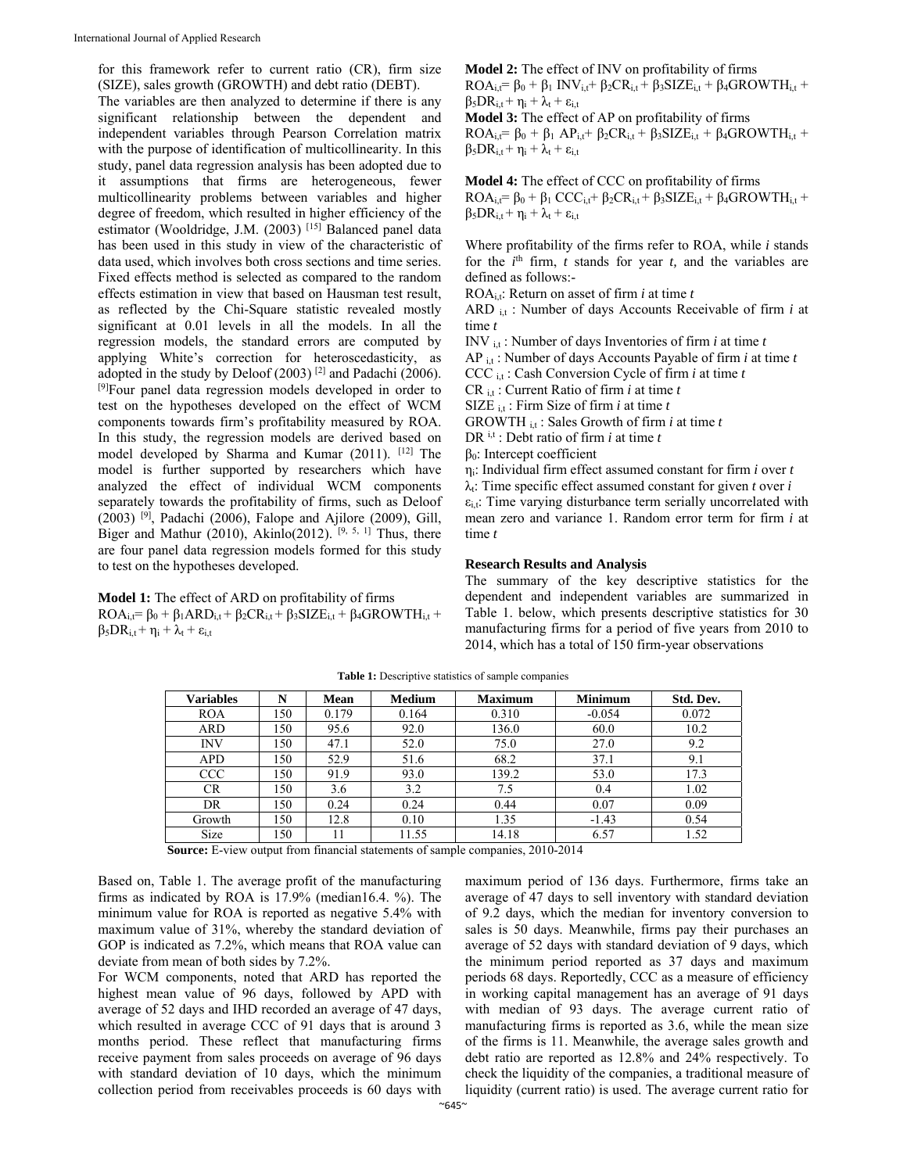for this framework refer to current ratio (CR), firm size (SIZE), sales growth (GROWTH) and debt ratio (DEBT).

The variables are then analyzed to determine if there is any significant relationship between the dependent and independent variables through Pearson Correlation matrix with the purpose of identification of multicollinearity. In this study, panel data regression analysis has been adopted due to it assumptions that firms are heterogeneous, fewer multicollinearity problems between variables and higher degree of freedom, which resulted in higher efficiency of the estimator (Wooldridge, J.M. (2003)<sup>[15]</sup> Balanced panel data has been used in this study in view of the characteristic of data used, which involves both cross sections and time series. Fixed effects method is selected as compared to the random effects estimation in view that based on Hausman test result, as reflected by the Chi-Square statistic revealed mostly significant at 0.01 levels in all the models. In all the regression models, the standard errors are computed by applying White's correction for heteroscedasticity, as adopted in the study by Deloof (2003) [2] and Padachi (2006). [9]Four panel data regression models developed in order to test on the hypotheses developed on the effect of WCM components towards firm's profitability measured by ROA. In this study, the regression models are derived based on model developed by Sharma and Kumar (2011). [12] The model is further supported by researchers which have analyzed the effect of individual WCM components separately towards the profitability of firms, such as Deloof (2003) <sup>[9]</sup>, Padachi (2006), Falope and Ajilore (2009), Gill, Biger and Mathur (2010), Akinlo(2012). [9, 5, 1] Thus, there are four panel data regression models formed for this study to test on the hypotheses developed.

**Model 1:** The effect of ARD on profitability of firms  $ROA_i = \beta_0 + \beta_1 ARD_{i,t} + \beta_2 CR_{i,t} + \beta_3 SIZE_{i,t} + \beta_4 GROWTH_{i,t} +$  $\beta_5DR_{i,t} + \eta_i + \lambda_t + \epsilon_{i,t}$ 

**Model 2:** The effect of INV on profitability of firms  $ROA_{i,t} = \beta_0 + \beta_1 INV_{i,t} + \beta_2CR_{i,t} + \beta_3 SIZE_{i,t} + \beta_4 GROWTH_{i,t} +$  $\beta_5DR_{i,t} + \eta_i + \lambda_t + \varepsilon_{i,t}$ 

**Model 3:** The effect of AP on profitability of firms  $ROA_{i,t} = \beta_0 + \beta_1 AP_{i,t} + \beta_2 CR_{i,t} + \beta_3 SIZE_{i,t} + \beta_4 GROWTH_{i,t} +$  $\beta_5DR_{i,t} + \eta_i + \lambda_t + \varepsilon_{i,t}$ 

**Model 4:** The effect of CCC on profitability of firms  $ROA_{i,t} = \beta_0 + \beta_1 CCC_{i,t} + \beta_2 CR_{i,t} + \beta_3 SIZE_{i,t} + \beta_4 GROWTH_{i,t} +$  $\beta_5DR_{i,t} + \eta_i + \lambda_t + \varepsilon_{i,t}$ 

Where profitability of the firms refer to ROA, while *i* stands for the  $i<sup>th</sup>$  firm,  $t$  stands for year  $t$ , and the variables are defined as follows:-

ROAi,t: Return on asset of firm *i* at time *t* 

ARD i,t : Number of days Accounts Receivable of firm *i* at time *t* 

INV i,t : Number of days Inventories of firm *i* at time *t*  AP i,t : Number of days Accounts Payable of firm *i* at time *t*  CCC i,t : Cash Conversion Cycle of firm *i* at time *t*  CR i,t : Current Ratio of firm *i* at time *t*  SIZE i,t : Firm Size of firm *i* at time *t* 

GROWTH i,t : Sales Growth of firm *i* at time *t* 

DR i,t : Debt ratio of firm *i* at time *t* 

β0: Intercept coefficient

ηi: Individual firm effect assumed constant for firm *i* over *t*   $\lambda_i$ : Time specific effect assumed constant for given *t* over *i*  $\varepsilon_{i,t}$ : Time varying disturbance term serially uncorrelated with mean zero and variance 1. Random error term for firm *i* at time *t* 

#### **Research Results and Analysis**

The summary of the key descriptive statistics for the dependent and independent variables are summarized in Table 1. below, which presents descriptive statistics for 30 manufacturing firms for a period of five years from 2010 to 2014, which has a total of 150 firm-year observations

| <b>Variables</b> | N   | Mean  | <b>Medium</b> | <b>Maximum</b> | <b>Minimum</b> | Std. Dev. |
|------------------|-----|-------|---------------|----------------|----------------|-----------|
| <b>ROA</b>       | 150 | 0.179 | 0.164         | 0.310          | $-0.054$       | 0.072     |
| <b>ARD</b>       | 150 | 95.6  | 92.0          | 136.0          | 60.0           | 10.2      |
| <b>INV</b>       | 150 | 47.1  | 52.0          | 75.0           | 27.0           | 9.2       |
| <b>APD</b>       | 150 | 52.9  | 51.6          | 68.2           | 37.1           | 9.1       |
| <b>CCC</b>       | 150 | 91.9  | 93.0          | 139.2          | 53.0           | 17.3      |
| <b>CR</b>        | 150 | 3.6   | 3.2           | 7.5            | 0.4            | 1.02      |
| DR               | 150 | 0.24  | 0.24          | 0.44           | 0.07           | 0.09      |
| Growth           | 150 | 12.8  | 0.10          | 1.35           | $-1.43$        | 0.54      |
| <b>Size</b>      | 150 | 11    | 11.55         | 14.18          | 6.57           | 1.52      |

**Table 1:** Descriptive statistics of sample companies

**Source:** E-view output from financial statements of sample companies, 2010-2014

Based on, Table 1. The average profit of the manufacturing firms as indicated by ROA is 17.9% (median16.4. %). The minimum value for ROA is reported as negative 5.4% with maximum value of 31%, whereby the standard deviation of GOP is indicated as 7.2%, which means that ROA value can deviate from mean of both sides by 7.2%.

For WCM components, noted that ARD has reported the highest mean value of 96 days, followed by APD with average of 52 days and IHD recorded an average of 47 days, which resulted in average CCC of 91 days that is around 3 months period. These reflect that manufacturing firms receive payment from sales proceeds on average of 96 days with standard deviation of 10 days, which the minimum collection period from receivables proceeds is 60 days with

maximum period of 136 days. Furthermore, firms take an average of 47 days to sell inventory with standard deviation of 9.2 days, which the median for inventory conversion to sales is 50 days. Meanwhile, firms pay their purchases an average of 52 days with standard deviation of 9 days, which the minimum period reported as 37 days and maximum periods 68 days. Reportedly, CCC as a measure of efficiency in working capital management has an average of 91 days with median of 93 days. The average current ratio of manufacturing firms is reported as 3.6, while the mean size of the firms is 11. Meanwhile, the average sales growth and debt ratio are reported as 12.8% and 24% respectively. To check the liquidity of the companies, a traditional measure of liquidity (current ratio) is used. The average current ratio for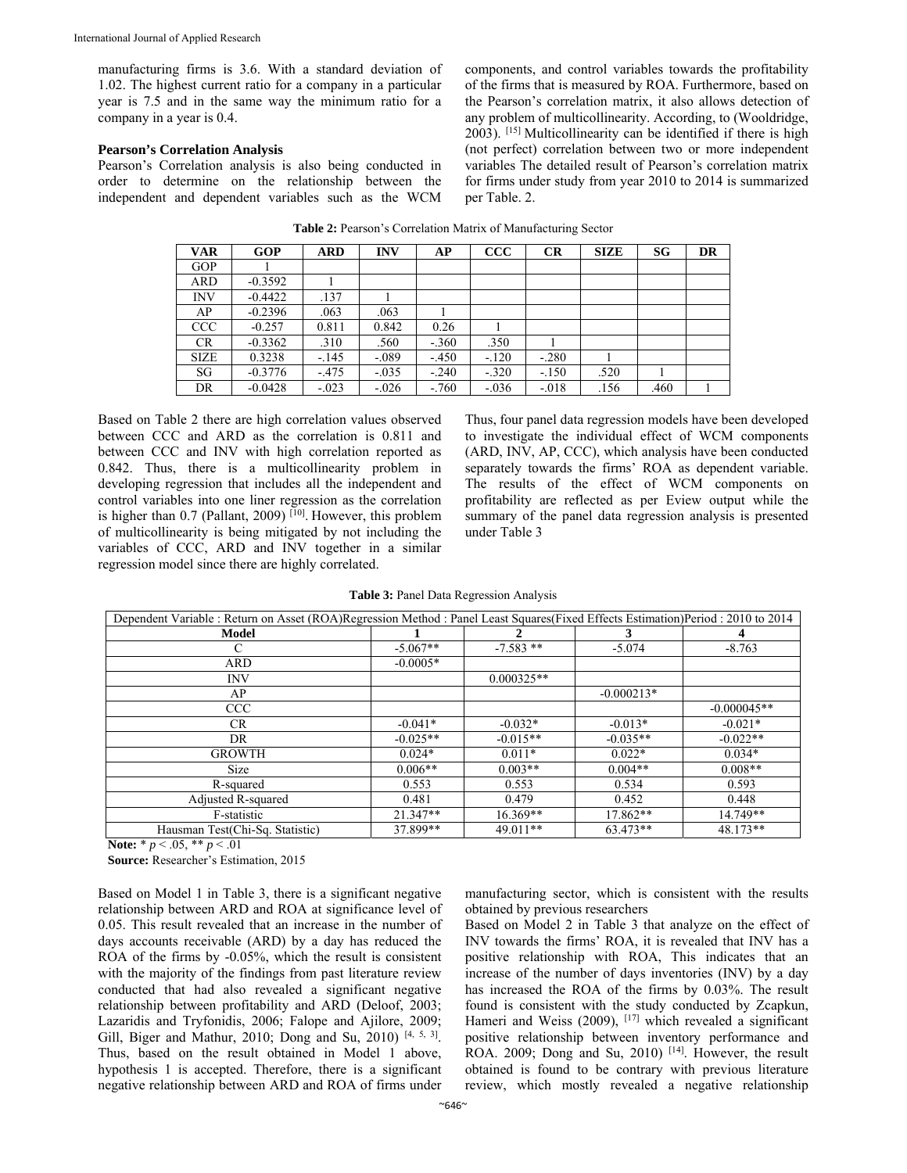manufacturing firms is 3.6. With a standard deviation of 1.02. The highest current ratio for a company in a particular year is 7.5 and in the same way the minimum ratio for a company in a year is 0.4.

#### **Pearson's Correlation Analysis**

Pearson's Correlation analysis is also being conducted in order to determine on the relationship between the independent and dependent variables such as the WCM components, and control variables towards the profitability of the firms that is measured by ROA. Furthermore, based on the Pearson's correlation matrix, it also allows detection of any problem of multicollinearity. According, to (Wooldridge, 2003). [15] Multicollinearity can be identified if there is high (not perfect) correlation between two or more independent variables The detailed result of Pearson's correlation matrix for firms under study from year 2010 to 2014 is summarized per Table. 2.

| <b>VAR</b>  | <b>GOP</b> | <b>ARD</b> | <b>INV</b> | AP      | $\bf{CCC}$ | CR      | <b>SIZE</b> | SG   | <b>DR</b> |
|-------------|------------|------------|------------|---------|------------|---------|-------------|------|-----------|
| <b>GOP</b>  |            |            |            |         |            |         |             |      |           |
| ARD         | $-0.3592$  |            |            |         |            |         |             |      |           |
| <b>INV</b>  | $-0.4422$  | .137       |            |         |            |         |             |      |           |
| AP          | $-0.2396$  | .063       | .063       |         |            |         |             |      |           |
| <b>CCC</b>  | $-0.257$   | 0.811      | 0.842      | 0.26    |            |         |             |      |           |
| <b>CR</b>   | $-0.3362$  | .310       | .560       | $-.360$ | .350       |         |             |      |           |
| <b>SIZE</b> | 0.3238     | $-145$     | $-.089$    | $-450$  | $-.120$    | $-.280$ |             |      |           |
| SG          | $-0.3776$  | $-.475$    | $-.035$    | $-.240$ | $-.320$    | $-.150$ | .520        |      |           |
| DR          | $-0.0428$  | $-.023$    | $-.026$    | $-.760$ | $-.036$    | $-.018$ | .156        | .460 |           |

**Table 2:** Pearson's Correlation Matrix of Manufacturing Sector

Based on Table 2 there are high correlation values observed between CCC and ARD as the correlation is 0.811 and between CCC and INV with high correlation reported as 0.842. Thus, there is a multicollinearity problem in developing regression that includes all the independent and control variables into one liner regression as the correlation is higher than  $0.7$  (Pallant, 2009) [ $10$ ]. However, this problem of multicollinearity is being mitigated by not including the variables of CCC, ARD and INV together in a similar regression model since there are highly correlated.

Thus, four panel data regression models have been developed to investigate the individual effect of WCM components (ARD, INV, AP, CCC), which analysis have been conducted separately towards the firms' ROA as dependent variable. The results of the effect of WCM components on profitability are reflected as per Eview output while the summary of the panel data regression analysis is presented under Table 3

|  | Table 3: Panel Data Regression Analysis |  |
|--|-----------------------------------------|--|
|  |                                         |  |

| Dependent Variable : Return on Asset (ROA)Regression Method : Panel Least Squares(Fixed Effects Estimation)Period : 2010 to 2014 |            |              |              |               |  |  |
|----------------------------------------------------------------------------------------------------------------------------------|------------|--------------|--------------|---------------|--|--|
| Model                                                                                                                            |            |              | 3            | 4             |  |  |
| С                                                                                                                                | $-5.067**$ | $-7.583**$   | $-5.074$     | $-8.763$      |  |  |
| <b>ARD</b>                                                                                                                       | $-0.0005*$ |              |              |               |  |  |
| <b>INV</b>                                                                                                                       |            | $0.000325**$ |              |               |  |  |
| AP                                                                                                                               |            |              | $-0.000213*$ |               |  |  |
| <b>CCC</b>                                                                                                                       |            |              |              | $-0.000045**$ |  |  |
| CR.                                                                                                                              | $-0.041*$  | $-0.032*$    | $-0.013*$    | $-0.021*$     |  |  |
| DR                                                                                                                               | $-0.025**$ | $-0.015**$   | $-0.035**$   | $-0.022**$    |  |  |
| <b>GROWTH</b>                                                                                                                    | $0.024*$   | $0.011*$     | $0.022*$     | $0.034*$      |  |  |
| Size                                                                                                                             | $0.006**$  | $0.003**$    | $0.004**$    | $0.008**$     |  |  |
| R-squared                                                                                                                        | 0.553      | 0.553        | 0.534        | 0.593         |  |  |
| Adjusted R-squared                                                                                                               | 0.481      | 0.479        | 0.452        | 0.448         |  |  |
| F-statistic                                                                                                                      | $21.347**$ | $16.369**$   | 17.862**     | 14.749**      |  |  |
| Hausman Test(Chi-Sq. Statistic)                                                                                                  | 37.899**   | 49.011**     | 63.473**     | 48.173**      |  |  |

**Note:** \* *p* < .05, \*\* *p* < .01

**Source:** Researcher's Estimation, 2015

Based on Model 1 in Table 3, there is a significant negative relationship between ARD and ROA at significance level of 0.05. This result revealed that an increase in the number of days accounts receivable (ARD) by a day has reduced the ROA of the firms by -0.05%, which the result is consistent with the majority of the findings from past literature review conducted that had also revealed a significant negative relationship between profitability and ARD (Deloof, 2003; Lazaridis and Tryfonidis, 2006; Falope and Ajilore, 2009; Gill, Biger and Mathur, 2010; Dong and Su, 2010) [4, 5, 3]. Thus, based on the result obtained in Model 1 above, hypothesis 1 is accepted. Therefore, there is a significant negative relationship between ARD and ROA of firms under manufacturing sector, which is consistent with the results obtained by previous researchers

Based on Model 2 in Table 3 that analyze on the effect of INV towards the firms' ROA, it is revealed that INV has a positive relationship with ROA, This indicates that an increase of the number of days inventories (INV) by a day has increased the ROA of the firms by 0.03%. The result found is consistent with the study conducted by Zcapkun, Hameri and Weiss  $(2009)$ ,  $[17]$  which revealed a significant positive relationship between inventory performance and ROA. 2009; Dong and Su, 2010)<sup>[14]</sup>. However, the result obtained is found to be contrary with previous literature review, which mostly revealed a negative relationship